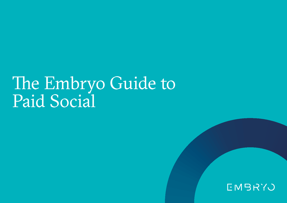# The Embryo Guide to Paid Social

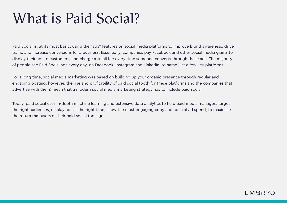## What is Paid Social?

Paid Social is, at its most basic, using the "ads" features on social media platforms to improve brand awareness, drive traffic and increase conversions for a business. Essentially, companies pay Facebook and other social media giants to display their ads to customers, and charge a small fee every time someone converts through these ads. The majority of people see Paid Social ads every day, on Facebook, Instagram and LinkedIn, to name just a few key platforms.

For a long time, social media marketing was based on building up your organic presence through regular and engaging posting, however, the rise and profitability of paid social (both for these platforms and the companies that advertise with them) mean that a modern social media marketing strategy has to include paid social.

Today, paid social uses in-depth machine learning and extensive data analytics to help paid media managers target the right audiences, display ads at the right time, show the most engaging copy and control ad spend, to maximise the return that users of their paid social tools get.

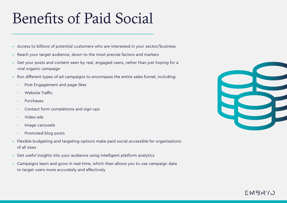# Benefits of Paid Social

- Access to billions of potential customers who are interested in your sector/business
- Reach your target audience, down to the most precise factors and markers
- Get your posts and content seen by real, engaged users, rather than just hoping for a viral organic campaign
- Run different types of ad campaigns to encompass the entire sales funnel, including:
	- Post Engagement and page likes
	- Website Traffic
	- Purchases
	- Contact form completions and sign-ups
	- Video ads
	- Image carousels
	- Promoted blog posts
- Flexible budgeting and targeting options make paid social accessible for organisations of all sizes
- Get useful insights into your audience using intelligent platform analytics
- Campaigns learn and grow in real-time, which then allows you to use campaign data to target users more accurately and effectively



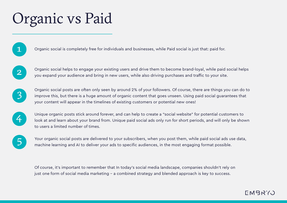# Organic vs Paid

Organic social is completely free for individuals and businesses, while Paid social is just that: paid for.



1

Organic social helps to engage your existing users and drive them to become brand-loyal, while paid social helps you expand your audience and bring in new users, while also driving purchases and traffic to your site.



Organic social posts are often only seen by around 2% of your followers. Of course, there are things you can do to improve this, but there is a huge amount of organic content that goes unseen. Using paid social guarantees that your content will appear in the timelines of existing customers or potential new ones!



Unique organic posts stick around forever, and can help to create a "social website" for potential customers to look at and learn about your brand from. Unique paid social ads only run for short periods, and will only be shown to users a limited number of times.



Your organic social posts are delivered to your subscribers, when you post them, while paid social ads use data, machine learning and AI to deliver your ads to specific audiences, in the most engaging format possible.

Of course, it's important to remember that In today's social media landscape, companies shouldn't rely on just one form of social media marketing - a combined strategy and blended approach is key to success.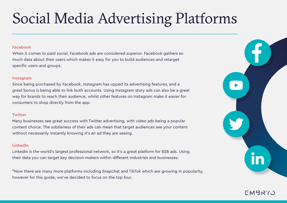# Social Media Advertising Platforms

### **Facebook**

When it comes to paid social, Facebook ads are considered superior. Facebook gathers so much data about their users which makes it easy for you to build audiences and retarget specific users and groups.

### **Instagram**

Since being purchased by Facebook, Instagram has upped its advertising features, and a great bonus is being able to link both accounts. Using Instagram story ads can also be a great way for brands to reach their audience, whilst other features on Instagram make it easier for consumers to shop directly from the app.

## **Twitter**

Many businesses see great success with Twitter advertising, with video ads being a popular content choice. The subtleness of their ads can mean that target audiences see your content without necessarily instantly knowing it's an ad they are seeing.

## **LinkedIn**

LinkedIn is the world's largest professional network, so it's a great platform for B2B ads. Using their data you can target key decision-makers within different industries and businesses.

\*Now there are many more platforms including Snapchat and TikTok which are growing in popularity, however for this guide, we've decided to focus on the top four.

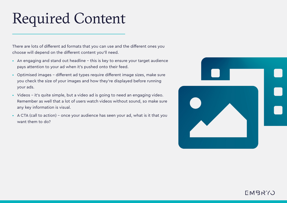# Required Content

There are lots of different ad formats that you can use and the different ones you choose will depend on the different content you'll need.

- An engaging and stand out headline this is key to ensure your target audience pays attention to your ad when it's pushed onto their feed.
- Optimised images different ad types require different image sizes, make sure you check the size of your images and how they're displayed before running your ads.
- Videos it's quite simple, but a video ad is going to need an engaging video. Remember as well that a lot of users watch videos without sound, so make sure any key information is visual.
- A CTA (call to action) once your audience has seen your ad, what is it that you want them to do?

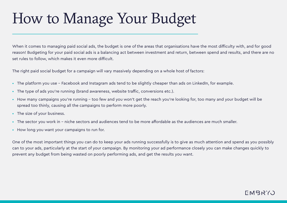# How to Manage Your Budget

When it comes to managing paid social ads, the budget is one of the areas that organisations have the most difficulty with, and for good reason! Budgeting for your paid social ads is a balancing act between investment and return, between spend and results, and there are no set rules to follow, which makes it even more difficult.

The right paid social budget for a campaign will vary massively depending on a whole host of factors:

- The platform you use Facebook and Instagram ads tend to be slightly cheaper than ads on LinkedIn, for example.
- The type of ads you're running (brand awareness, website traffic, conversions etc.).
- How many campaigns you're running too few and you won't get the reach you're looking for, too many and your budget will be spread too thinly, causing all the campaigns to perform more poorly.
- The size of your business.
- The sector you work in niche sectors and audiences tend to be more affordable as the audiences are much smaller.
- How long you want your campaigns to run for.

One of the most important things you can do to keep your ads running successfully is to give as much attention and spend as you possibly can to your ads, particularly at the start of your campaign. By monitoring your ad performance closely you can make changes quickly to prevent any budget from being wasted on poorly performing ads, and get the results you want.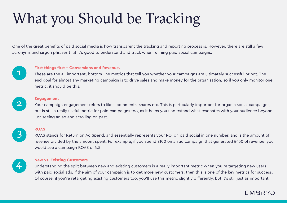# What you Should be Tracking

One of the great benefits of paid social media is how transparent the tracking and reporting process is. However, there are still a few acronyms and jargon phrases that it's good to understand and track when running paid social campaigns:



### **First things first - Conversions and Revenue.**

These are the all-important, bottom-line metrics that tell you whether your campaigns are ultimately successful or not. The end goal for almost any marketing campaign is to drive sales and make money for the organisation, so if you only monitor one metric, it should be this.



3

#### **Engagement**

Your campaign engagement refers to likes, comments, shares etc. This is particularly important for organic social campaigns, but is still a really useful metric for paid campaigns too, as it helps you understand what resonates with your audience beyond just seeing an ad and scrolling on past.

#### **ROAS**

ROAS stands for Return on Ad Spend, and essentially represents your ROI on paid social in one number, and is the amount of revenue divided by the amount spent. For example, if you spend £100 on an ad campaign that generated £450 of revenue, you would see a campaign ROAS of 4.5



#### **New vs. Existing Customers**

Understanding the split between new and existing customers is a really important metric when you're targeting new users with paid social ads. If the aim of your campaign is to get more new customers, then this is one of the key metrics for success. Of course, if you're retargeting existing customers too, you'll use this metric slightly differently, but it's still just as important.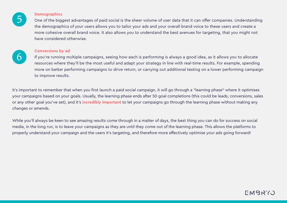

#### **Demographics**

One of the biggest advantages of paid social is the sheer volume of user data that it can offer companies. Understanding the demographics of your users allows you to tailor your ads and your overall brand voice to these users and create a more cohesive overall brand voice. It also allows you to understand the best avenues for targeting, that you might not have considered otherwise.



## **Conversions by ad**

If you're running multiple campaigns, seeing how each is performing is always a good idea, as it allows you to allocate resources where they'll be the most useful and adapt your strategy in line with real-time results. For example, spending more on better performing campaigns to drive return, or carrying out additional testing on a lower performing campaign to improve results.

It's important to remember that when you first launch a paid social campaign, it will go through a "learning phase" where it optimises your campaigns based on your goals. Usually, the learning phase ends after 50 goal completions (this could be leads, conversions, sales or any other goal you've set), and it's **incredibly important** to let your campaigns go through the learning phase without making any changes or amends.

While you'll always be keen to see amazing results come through in a matter of days, the best thing you can do for success on social media, in the long run, is to leave your campaigns as they are until they come out of the learning phase. This allows the platforms to properly understand your campaign and the users it's targeting, and therefore more effectively optimise your ads going forward!

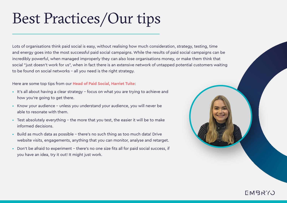# Best Practices/Our tips

Lots of organisations think paid social is easy, without realising how much consideration, strategy, testing, time and energy goes into the most successful paid social campaigns. While the results of paid social campaigns can be incredibly powerful, when managed improperly they can also lose organisations money, or make them think that social "just doesn't work for us", when in fact there is an extensive network of untapped potential customers waiting to be found on social networks - all you need is the right strategy.

## Here are some top tips from our **Head of Paid Social, Harriet Tuite**:

- It's all about having a clear strategy focus on what you are trying to achieve and how you're going to get there.
- Know your audience unless you understand your audience, you will never be able to resonate with them.
- Test absolutely everything the more that you test, the easier it will be to make informed decisions.
- Build as much data as possible there's no such thing as too much data! Drive website visits, engagements, anything that you can monitor, analyse and retarget.
- Don't be afraid to experiment there's no one size fits all for paid social success, if you have an idea, try it out! It might just work.



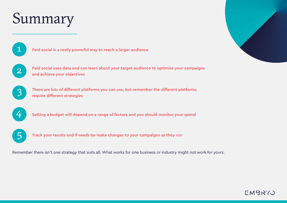# Summary

1

**Paid social is a really powerful way to reach a larger audience**



**Paid social uses data and can learn about your target audience to optimise your campaigns and achieve your objectives** 



**There are lots of different platforms you can use, but remember the different platforms require different strategies**



**Setting a budget will depend on a range of factors and you should monitor your spend**



**Track your results and if needs be make changes to your campaigns as they run**

Remember there isn't one strategy that suits all. What works for one business or industry might not work for yours.